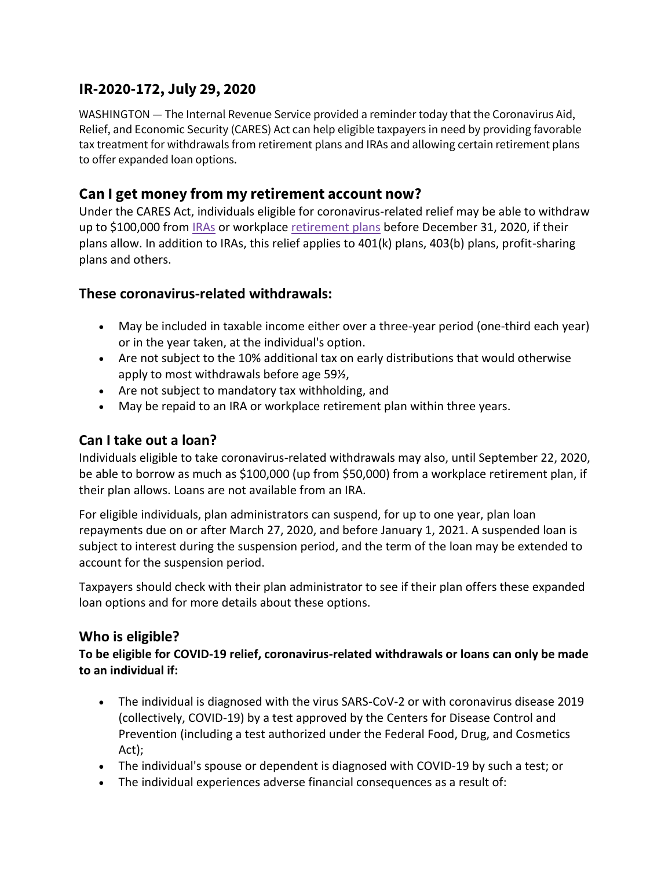# **IR-2020-172, July 29, 2020**

WASHINGTON — The Internal Revenue Service provided a reminder today that the Coronavirus Aid, Relief, and Economic Security (CARES) Act can help eligible taxpayers in need by providing favorable tax treatment for withdrawals from retirement plans and IRAs and allowing certain retirement plans to offer expanded loan options.

## **Can I get money from my retirement account now?**

Under the CARES Act, individuals eligible for coronavirus-related relief may be able to withdraw up to \$100,000 from [IRAs](https://www.irs.gov/retirement-plans/individual-retirement-arrangements-iras) or workplace [retirement plans](https://www.irs.gov/retirement-plans) before December 31, 2020, if their plans allow. In addition to IRAs, this relief applies to 401(k) plans, 403(b) plans, profit-sharing plans and others.

### **These coronavirus-related withdrawals:**

- May be included in taxable income either over a three-year period (one-third each year) or in the year taken, at the individual's option.
- Are not subject to the 10% additional tax on early distributions that would otherwise apply to most withdrawals before age 59½,
- Are not subject to mandatory tax withholding, and
- May be repaid to an IRA or workplace retirement plan within three years.

#### **Can I take out a loan?**

Individuals eligible to take coronavirus-related withdrawals may also, until September 22, 2020, be able to borrow as much as \$100,000 (up from \$50,000) from a workplace retirement plan, if their plan allows. Loans are not available from an IRA.

For eligible individuals, plan administrators can suspend, for up to one year, plan loan repayments due on or after March 27, 2020, and before January 1, 2021. A suspended loan is subject to interest during the suspension period, and the term of the loan may be extended to account for the suspension period.

Taxpayers should check with their plan administrator to see if their plan offers these expanded loan options and for more details about these options.

#### **Who is eligible?**

**To be eligible for COVID-19 relief, coronavirus-related withdrawals or loans can only be made to an individual if:**

- The individual is diagnosed with the virus SARS-CoV-2 or with coronavirus disease 2019 (collectively, COVID-19) by a test approved by the Centers for Disease Control and Prevention (including a test authorized under the Federal Food, Drug, and Cosmetics Act);
- The individual's spouse or dependent is diagnosed with COVID-19 by such a test; or
- The individual experiences adverse financial consequences as a result of: